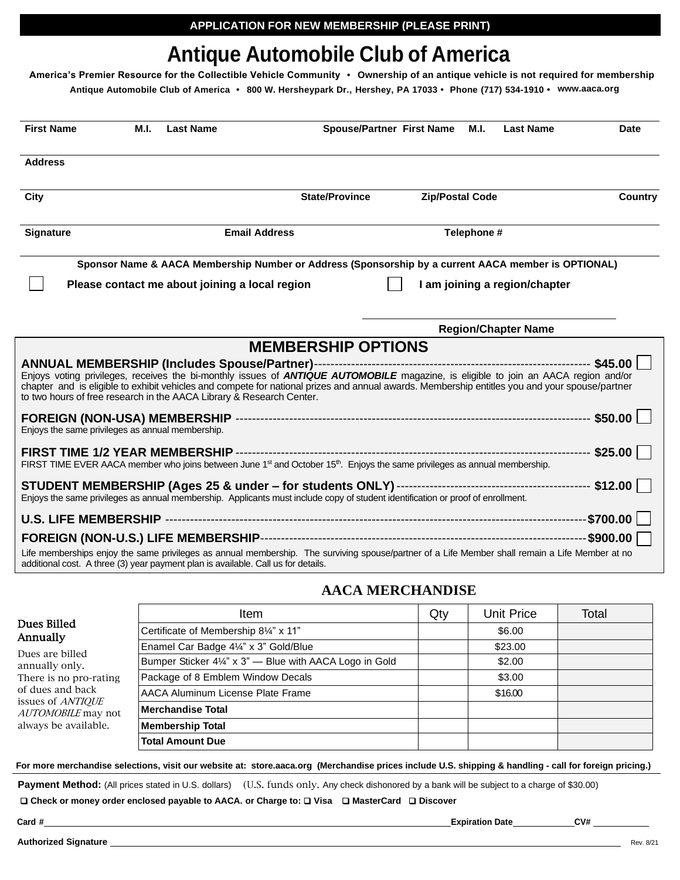# **Antique Automobile Club of America**

**America's Premier Resource for the Collectible Vehicle Community • Ownership of an antique vehicle is not required for membership Antique Automobile Club of America • 800 W. Hersheypark Dr., Hershey, PA 17033 • Phone (717) 534-1910 • [www.aaca.org](http://www.aaca.org/)**

| <b>First Name</b>                                | M.I. | <b>Last Name</b>                                                                  |                                                                                                                                                                                                                                                                                             | <b>Spouse/Partner First Name</b> | M.I.                   | <b>Last Name</b>              | <b>Date</b>    |
|--------------------------------------------------|------|-----------------------------------------------------------------------------------|---------------------------------------------------------------------------------------------------------------------------------------------------------------------------------------------------------------------------------------------------------------------------------------------|----------------------------------|------------------------|-------------------------------|----------------|
| <b>Address</b>                                   |      |                                                                                   |                                                                                                                                                                                                                                                                                             |                                  |                        |                               |                |
| City                                             |      |                                                                                   | <b>State/Province</b>                                                                                                                                                                                                                                                                       |                                  | <b>Zip/Postal Code</b> |                               | <b>Country</b> |
| <b>Signature</b>                                 |      |                                                                                   | <b>Email Address</b>                                                                                                                                                                                                                                                                        |                                  | Telephone #            |                               |                |
|                                                  |      |                                                                                   | Sponsor Name & AACA Membership Number or Address (Sponsorship by a current AACA member is OPTIONAL)                                                                                                                                                                                         |                                  |                        |                               |                |
|                                                  |      | Please contact me about joining a local region                                    |                                                                                                                                                                                                                                                                                             |                                  |                        | I am joining a region/chapter |                |
|                                                  |      |                                                                                   |                                                                                                                                                                                                                                                                                             |                                  |                        | <b>Region/Chapter Name</b>    |                |
|                                                  |      |                                                                                   | <b>MEMBERSHIP OPTIONS</b>                                                                                                                                                                                                                                                                   |                                  |                        |                               |                |
|                                                  |      | to two hours of free research in the AACA Library & Research Center.              | Enjoys voting privileges, receives the bi-monthly issues of <b>ANTIQUE AUTOMOBILE</b> magazine, is eligible to join an AACA region and/or<br>chapter and is eligible to exhibit vehicles and compete for national prizes and annual awards. Membership entitles you and your spouse/partner |                                  |                        |                               |                |
| Enjoys the same privileges as annual membership. |      |                                                                                   |                                                                                                                                                                                                                                                                                             |                                  |                        |                               |                |
|                                                  |      |                                                                                   | FIRST TIME EVER AACA member who joins between June 1 <sup>st</sup> and October 15 <sup>th</sup> . Enjoys the same privileges as annual membership.                                                                                                                                          |                                  |                        |                               |                |
|                                                  |      |                                                                                   | Enjoys the same privileges as annual membership. Applicants must include copy of student identification or proof of enrollment.                                                                                                                                                             |                                  |                        |                               |                |
|                                                  |      |                                                                                   |                                                                                                                                                                                                                                                                                             |                                  |                        |                               |                |
|                                                  |      |                                                                                   |                                                                                                                                                                                                                                                                                             |                                  |                        |                               |                |
|                                                  |      | additional cost. A three (3) year payment plan is available. Call us for details. | Life memberships enjoy the same privileges as annual membership. The surviving spouse/partner of a Life Member shall remain a Life Member at no                                                                                                                                             |                                  |                        |                               |                |

# **AACA MERCHANDISE**

|                                                       | <b>Item</b>                                             | Qty | <b>Unit Price</b> | Total |
|-------------------------------------------------------|---------------------------------------------------------|-----|-------------------|-------|
| Dues Billed<br>Annually                               | Certificate of Membership 81/4" x 11"                   |     | \$6.00            |       |
| Dues are billed                                       | Enamel Car Badge 41/4" x 3" Gold/Blue                   |     | \$23.00           |       |
| annually only.                                        | Bumper Sticker 41/4" x 3" - Blue with AACA Logo in Gold |     | \$2.00            |       |
| There is no pro-rating                                | Package of 8 Emblem Window Decals                       |     | \$3.00            |       |
| of dues and back                                      | AACA Aluminum License Plate Frame                       |     | \$16.00           |       |
| issues of <i>ANTIQUE</i><br><i>AUTOMOBILE</i> may not | Merchandise Total                                       |     |                   |       |
| always be available.                                  | <b>Membership Total</b>                                 |     |                   |       |
|                                                       | <b>Total Amount Due</b>                                 |     |                   |       |

For more merchandise selections, visit our website at: store.aaca.org (Merchandise prices include U.S. shipping & handling - call for foreign pricing.)

Payment Method: (All prices stated in U.S. dollars) (U.S. funds only. Any check dishonored by a bank will be subject to a charge of \$30.00)

❑ **Check or money order enclosed payable to AACA. or Charge to:** ❑ **Visa** ❑ **MasterCard** ❑ **Discover**

**Authorized Signature** Rev. 8/21